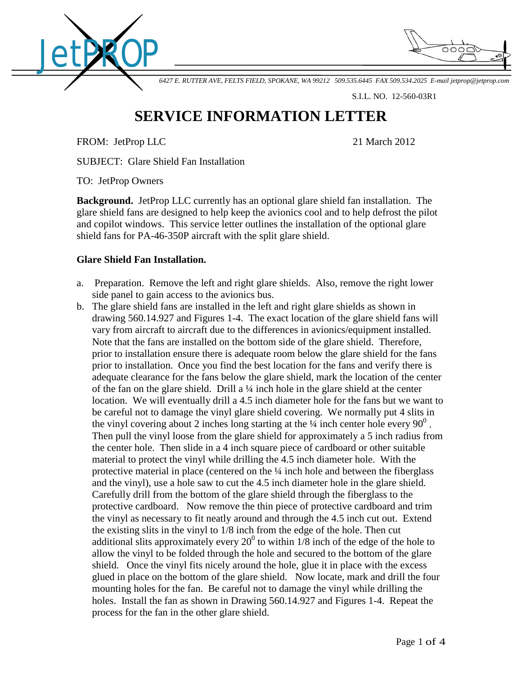



*6427 E. RUTTER AVE, FELTS FIELD, SPOKANE, WA 99212 509.535.6445 FAX 509.534.2025 E-mail [jetprop@jetprop.com](mailto:jetprop@jetprop.com)*

S.I.L. NO. 12-560-03R1

## **SERVICE INFORMATION LETTER**

FROM: JetProp LLC 21 March 2012

SUBJECT: Glare Shield Fan Installation

TO: JetProp Owners

**Background.** JetProp LLC currently has an optional glare shield fan installation. The glare shield fans are designed to help keep the avionics cool and to help defrost the pilot and copilot windows. This service letter outlines the installation of the optional glare shield fans for PA-46-350P aircraft with the split glare shield.

## **Glare Shield Fan Installation.**

- a. Preparation. Remove the left and right glare shields. Also, remove the right lower side panel to gain access to the avionics bus.
- b. The glare shield fans are installed in the left and right glare shields as shown in drawing 560.14.927 and Figures 1-4. The exact location of the glare shield fans will vary from aircraft to aircraft due to the differences in avionics/equipment installed. Note that the fans are installed on the bottom side of the glare shield. Therefore, prior to installation ensure there is adequate room below the glare shield for the fans prior to installation. Once you find the best location for the fans and verify there is adequate clearance for the fans below the glare shield, mark the location of the center of the fan on the glare shield. Drill a ¼ inch hole in the glare shield at the center location. We will eventually drill a 4.5 inch diameter hole for the fans but we want to be careful not to damage the vinyl glare shield covering. We normally put 4 slits in the vinyl covering about 2 inches long starting at the  $\frac{1}{4}$  inch center hole every 90<sup>0</sup>. Then pull the vinyl loose from the glare shield for approximately a 5 inch radius from the center hole. Then slide in a 4 inch square piece of cardboard or other suitable material to protect the vinyl while drilling the 4.5 inch diameter hole. With the protective material in place (centered on the ¼ inch hole and between the fiberglass and the vinyl), use a hole saw to cut the 4.5 inch diameter hole in the glare shield. Carefully drill from the bottom of the glare shield through the fiberglass to the protective cardboard. Now remove the thin piece of protective cardboard and trim the vinyl as necessary to fit neatly around and through the 4.5 inch cut out. Extend the existing slits in the vinyl to 1/8 inch from the edge of the hole. Then cut additional slits approximately every  $20^0$  to within 1/8 inch of the edge of the hole to allow the vinyl to be folded through the hole and secured to the bottom of the glare shield. Once the vinyl fits nicely around the hole, glue it in place with the excess glued in place on the bottom of the glare shield. Now locate, mark and drill the four mounting holes for the fan. Be careful not to damage the vinyl while drilling the holes. Install the fan as shown in Drawing 560.14.927 and Figures 1-4. Repeat the process for the fan in the other glare shield.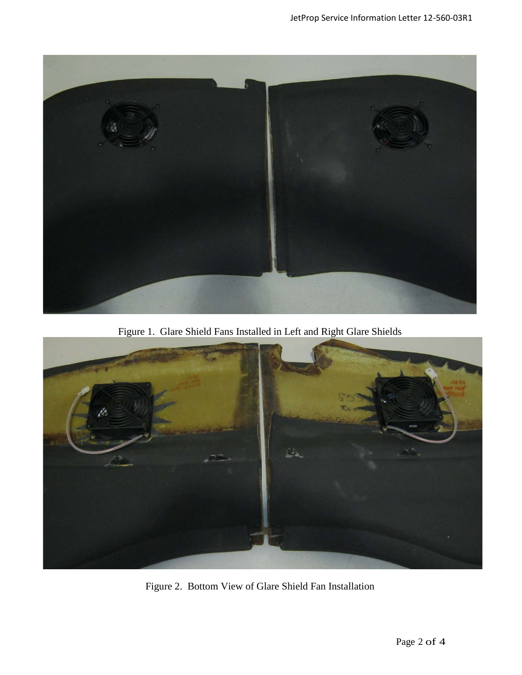

Figure 1. Glare Shield Fans Installed in Left and Right Glare Shields



Figure 2. Bottom View of Glare Shield Fan Installation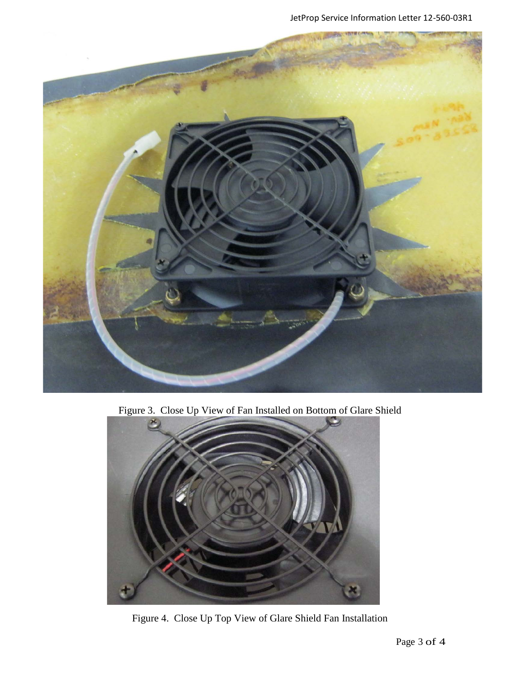

Figure 3. Close Up View of Fan Installed on Bottom of Glare Shield



Figure 4. Close Up Top View of Glare Shield Fan Installation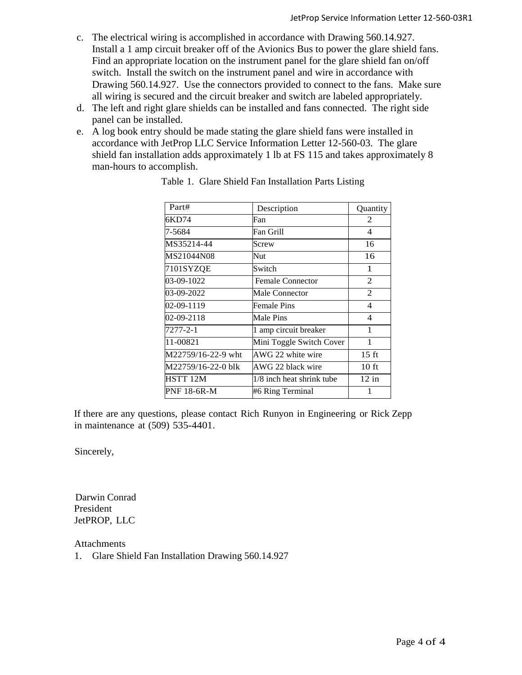- c. The electrical wiring is accomplished in accordance with Drawing 560.14.927. Install a 1 amp circuit breaker off of the Avionics Bus to power the glare shield fans. Find an appropriate location on the instrument panel for the glare shield fan on/off switch. Install the switch on the instrument panel and wire in accordance with Drawing 560.14.927. Use the connectors provided to connect to the fans. Make sure all wiring is secured and the circuit breaker and switch are labeled appropriately.
- d. The left and right glare shields can be installed and fans connected. The right side panel can be installed.
- e. A log book entry should be made stating the glare shield fans were installed in accordance with JetProp LLC Service Information Letter 12-560-03. The glare shield fan installation adds approximately 1 lb at FS 115 and takes approximately 8 man-hours to accomplish.

| Part#              | Description               | Quantity        |
|--------------------|---------------------------|-----------------|
| 6KD74              | Fan                       | 2               |
| 7-5684             | Fan Grill                 | $\overline{4}$  |
| MS35214-44         | Screw                     | 16              |
| MS21044N08         | Nut                       | 16              |
| 7101SYZQE          | Switch                    | 1               |
| 03-09-1022         | <b>Female Connector</b>   | 2               |
| 03-09-2022         | Male Connector            | 2               |
| 02-09-1119         | <b>Female Pins</b>        | $\overline{4}$  |
| 02-09-2118         | Male Pins                 | $\overline{4}$  |
| $7277 - 2 - 1$     | 1 amp circuit breaker     | 1               |
| 11-00821           | Mini Toggle Switch Cover  | 1               |
| M22759/16-22-9 wht | AWG 22 white wire         | $15 \text{ ft}$ |
| M22759/16-22-0 blk | AWG 22 black wire         | $10 \text{ ft}$ |
| HSTT 12M           | 1/8 inch heat shrink tube | $12$ in         |
| PNF 18-6R-M        | #6 Ring Terminal          | 1               |

Table 1. Glare Shield Fan Installation Parts Listing

If there are any questions, please contact Rich Runyon in Engineering or Rick Zepp in maintenance at (509) 535-4401.

Sincerely,

 Darwin Conrad President JetPROP, LLC

Attachments

1. Glare Shield Fan Installation Drawing 560.14.927